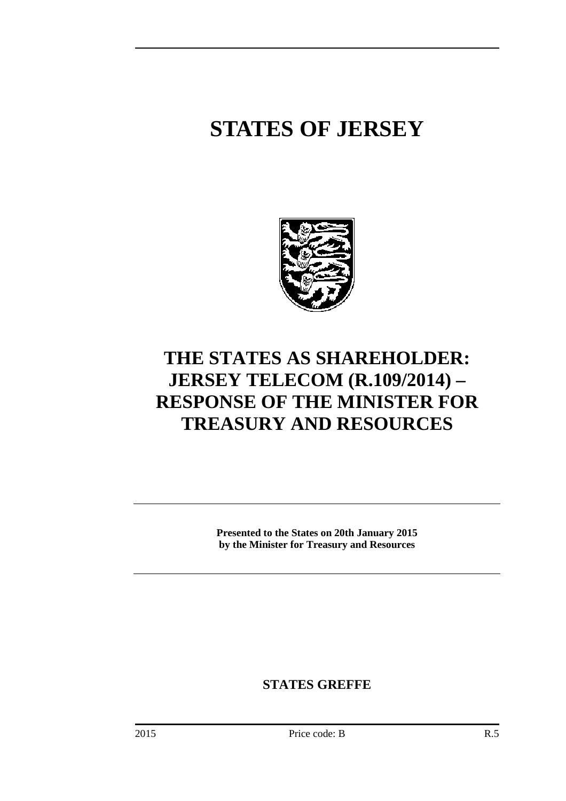# **STATES OF JERSEY**



## **THE STATES AS SHAREHOLDER: JERSEY TELECOM (R.109/2014) – RESPONSE OF THE MINISTER FOR TREASURY AND RESOURCES**

**Presented to the States on 20th January 2015 by the Minister for Treasury and Resources** 

**STATES GREFFE**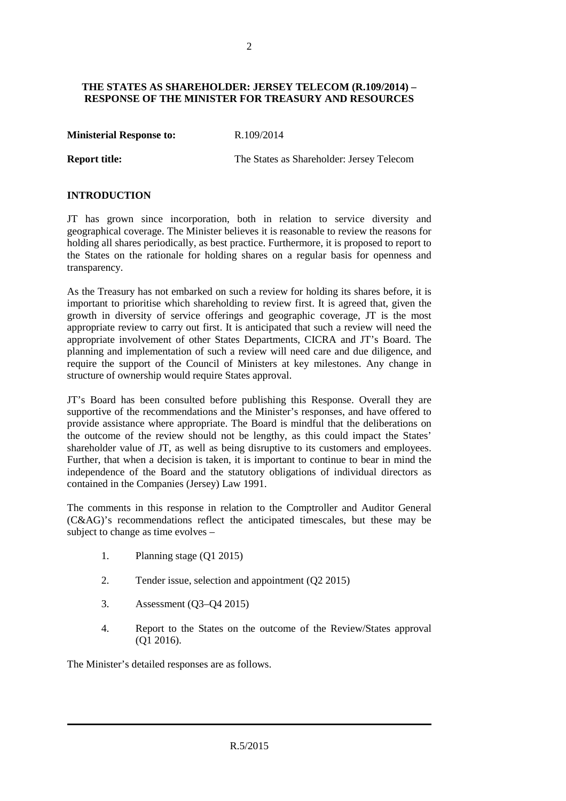#### **THE STATES AS SHAREHOLDER: JERSEY TELECOM (R.109/2014) – RESPONSE OF THE MINISTER FOR TREASURY AND RESOURCES**

**Ministerial Response to:** R.109/2014

**Report title:** The States as Shareholder: Jersey Telecom

#### **INTRODUCTION**

JT has grown since incorporation, both in relation to service diversity and geographical coverage. The Minister believes it is reasonable to review the reasons for holding all shares periodically, as best practice. Furthermore, it is proposed to report to the States on the rationale for holding shares on a regular basis for openness and transparency.

As the Treasury has not embarked on such a review for holding its shares before, it is important to prioritise which shareholding to review first. It is agreed that, given the growth in diversity of service offerings and geographic coverage, JT is the most appropriate review to carry out first. It is anticipated that such a review will need the appropriate involvement of other States Departments, CICRA and JT's Board. The planning and implementation of such a review will need care and due diligence, and require the support of the Council of Ministers at key milestones. Any change in structure of ownership would require States approval.

JT's Board has been consulted before publishing this Response. Overall they are supportive of the recommendations and the Minister's responses, and have offered to provide assistance where appropriate. The Board is mindful that the deliberations on the outcome of the review should not be lengthy, as this could impact the States' shareholder value of JT, as well as being disruptive to its customers and employees. Further, that when a decision is taken, it is important to continue to bear in mind the independence of the Board and the statutory obligations of individual directors as contained in the Companies (Jersey) Law 1991.

The comments in this response in relation to the Comptroller and Auditor General (C&AG)'s recommendations reflect the anticipated timescales, but these may be subject to change as time evolves –

- 1. Planning stage (Q1 2015)
- 2. Tender issue, selection and appointment (Q2 2015)
- 3. Assessment (Q3–Q4 2015)
- 4. Report to the States on the outcome of the Review/States approval (Q1 2016).

The Minister's detailed responses are as follows.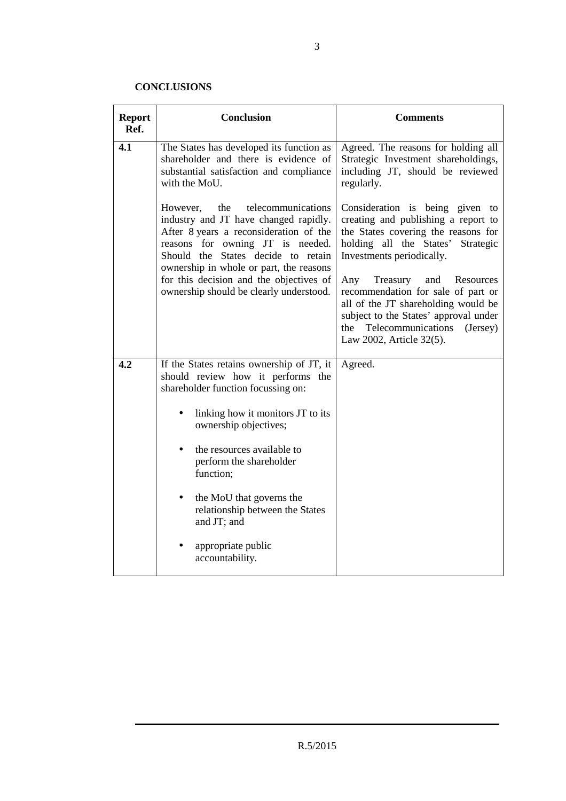### **CONCLUSIONS**

| <b>Report</b><br>Ref. | <b>Conclusion</b>                                                                                                                                                                                                                                                                                                                   | <b>Comments</b>                                                                                                                                                                                                                                                                                                                                                                                                      |
|-----------------------|-------------------------------------------------------------------------------------------------------------------------------------------------------------------------------------------------------------------------------------------------------------------------------------------------------------------------------------|----------------------------------------------------------------------------------------------------------------------------------------------------------------------------------------------------------------------------------------------------------------------------------------------------------------------------------------------------------------------------------------------------------------------|
| 4.1                   | The States has developed its function as<br>shareholder and there is evidence of<br>substantial satisfaction and compliance<br>with the MoU.                                                                                                                                                                                        | Agreed. The reasons for holding all<br>Strategic Investment shareholdings,<br>including JT, should be reviewed<br>regularly.                                                                                                                                                                                                                                                                                         |
|                       | the<br>telecommunications<br>However,<br>industry and JT have changed rapidly.<br>After 8 years a reconsideration of the<br>reasons for owning JT is needed.<br>Should the States decide to retain<br>ownership in whole or part, the reasons<br>for this decision and the objectives of<br>ownership should be clearly understood. | Consideration is being given to<br>creating and publishing a report to<br>the States covering the reasons for<br>holding all the States'<br>Strategic<br>Investments periodically.<br>Any<br>Treasury<br>Resources<br>and<br>recommendation for sale of part or<br>all of the JT shareholding would be<br>subject to the States' approval under<br>Telecommunications<br>the<br>(Jersey)<br>Law 2002, Article 32(5). |
| 4.2                   | If the States retains ownership of JT, it<br>should review how it performs the<br>shareholder function focussing on:                                                                                                                                                                                                                | Agreed.                                                                                                                                                                                                                                                                                                                                                                                                              |
|                       | linking how it monitors JT to its<br>ownership objectives;                                                                                                                                                                                                                                                                          |                                                                                                                                                                                                                                                                                                                                                                                                                      |
|                       | the resources available to<br>$\bullet$<br>perform the shareholder<br>function;                                                                                                                                                                                                                                                     |                                                                                                                                                                                                                                                                                                                                                                                                                      |
|                       | the MoU that governs the<br>relationship between the States<br>and JT; and                                                                                                                                                                                                                                                          |                                                                                                                                                                                                                                                                                                                                                                                                                      |
|                       | appropriate public<br>accountability.                                                                                                                                                                                                                                                                                               |                                                                                                                                                                                                                                                                                                                                                                                                                      |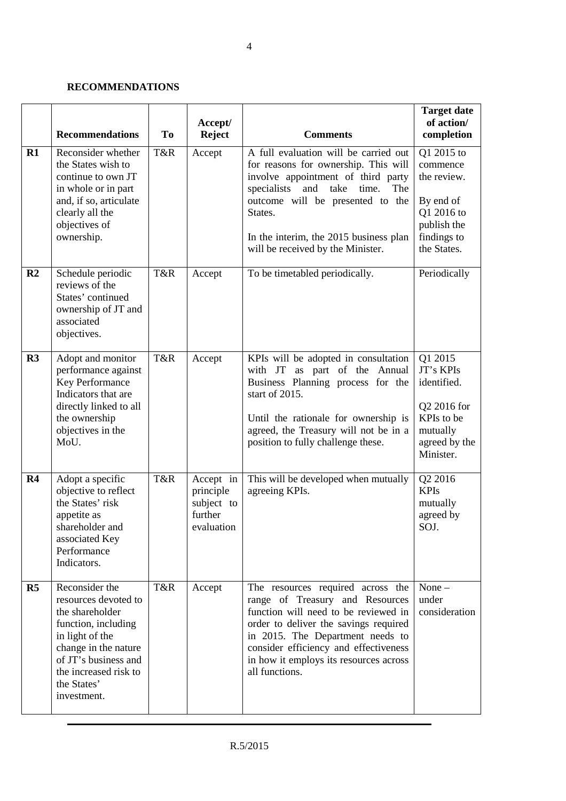#### **RECOMMENDATIONS**

|                | <b>Recommendations</b>                                                                                                                                                                                     | To  | Accept/<br><b>Reject</b>                                      | <b>Comments</b>                                                                                                                                                                                                                                                                                 | <b>Target date</b><br>of action/<br>completion                                                                |
|----------------|------------------------------------------------------------------------------------------------------------------------------------------------------------------------------------------------------------|-----|---------------------------------------------------------------|-------------------------------------------------------------------------------------------------------------------------------------------------------------------------------------------------------------------------------------------------------------------------------------------------|---------------------------------------------------------------------------------------------------------------|
| R1             | Reconsider whether<br>the States wish to<br>continue to own JT<br>in whole or in part<br>and, if so, articulate<br>clearly all the<br>objectives of<br>ownership.                                          | T&R | Accept                                                        | A full evaluation will be carried out<br>for reasons for ownership. This will<br>involve appointment of third party<br>take<br>specialists<br>and<br>time.<br>The<br>outcome will be presented to the<br>States.<br>In the interim, the 2015 business plan<br>will be received by the Minister. | Q1 2015 to<br>commence<br>the review.<br>By end of<br>Q1 2016 to<br>publish the<br>findings to<br>the States. |
| R <sub>2</sub> | Schedule periodic<br>reviews of the<br>States' continued<br>ownership of JT and<br>associated<br>objectives.                                                                                               | T&R | Accept                                                        | To be timetabled periodically.                                                                                                                                                                                                                                                                  | Periodically                                                                                                  |
| R3             | Adopt and monitor<br>performance against<br>Key Performance<br>Indicators that are<br>directly linked to all<br>the ownership<br>objectives in the<br>MoU.                                                 | T&R | Accept                                                        | KPIs will be adopted in consultation<br>with JT as part of the Annual<br>Business Planning process for the<br>start of 2015.<br>Until the rationale for ownership is<br>agreed, the Treasury will not be in a<br>position to fully challenge these.                                             | Q1 2015<br>JT's KPIs<br>identified.<br>Q2 2016 for<br>KPIs to be<br>mutually<br>agreed by the<br>Minister.    |
| R <sub>4</sub> | Adopt a specific<br>objective to reflect<br>the States' risk<br>appetite as<br>shareholder and<br>associated Key<br>Performance<br>Indicators.                                                             | T&R | Accept in<br>principle<br>subject to<br>further<br>evaluation | This will be developed when mutually<br>agreeing KPIs.                                                                                                                                                                                                                                          | Q2 2016<br><b>KPIs</b><br>mutually<br>agreed by<br>SOJ.                                                       |
| R <sub>5</sub> | Reconsider the<br>resources devoted to<br>the shareholder<br>function, including<br>in light of the<br>change in the nature<br>of JT's business and<br>the increased risk to<br>the States'<br>investment. | T&R | Accept                                                        | The resources required across the<br>range of Treasury and Resources<br>function will need to be reviewed in<br>order to deliver the savings required<br>in 2015. The Department needs to<br>consider efficiency and effectiveness<br>in how it employs its resources across<br>all functions.  | $None -$<br>under<br>consideration                                                                            |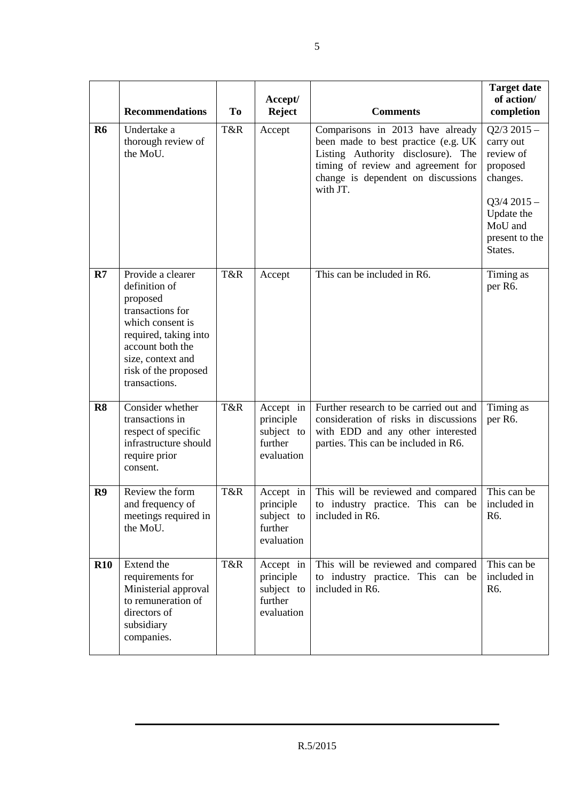|                | <b>Recommendations</b>                                                                                                                                                                            | <b>To</b> | Accept/<br><b>Reject</b>                                      | <b>Comments</b>                                                                                                                                                                                       | <b>Target date</b><br>of action/<br>completion                                                                                         |
|----------------|---------------------------------------------------------------------------------------------------------------------------------------------------------------------------------------------------|-----------|---------------------------------------------------------------|-------------------------------------------------------------------------------------------------------------------------------------------------------------------------------------------------------|----------------------------------------------------------------------------------------------------------------------------------------|
| R <sub>6</sub> | Undertake a<br>thorough review of<br>the MoU.                                                                                                                                                     | T&R       | Accept                                                        | Comparisons in 2013 have already<br>been made to best practice (e.g. UK<br>Listing Authority disclosure). The<br>timing of review and agreement for<br>change is dependent on discussions<br>with JT. | $Q2/3$ 2015 -<br>carry out<br>review of<br>proposed<br>changes.<br>$Q3/4$ 2015 -<br>Update the<br>MoU and<br>present to the<br>States. |
| R7             | Provide a clearer<br>definition of<br>proposed<br>transactions for<br>which consent is<br>required, taking into<br>account both the<br>size, context and<br>risk of the proposed<br>transactions. | T&R       | Accept                                                        | This can be included in R6.                                                                                                                                                                           | Timing as<br>per R6.                                                                                                                   |
| R8             | Consider whether<br>transactions in<br>respect of specific<br>infrastructure should<br>require prior<br>consent.                                                                                  | T&R       | Accept in<br>principle<br>subject to<br>further<br>evaluation | Further research to be carried out and<br>consideration of risks in discussions<br>with EDD and any other interested<br>parties. This can be included in R6.                                          | Timing as<br>per R6.                                                                                                                   |
| R9             | Review the form<br>and frequency of<br>meetings required in<br>the MoU.                                                                                                                           | T&R       | Accept in<br>principle<br>subject to<br>further<br>evaluation | This will be reviewed and compared<br>to industry practice. This can be   included in<br>included in R6.                                                                                              | This can be<br>R6.                                                                                                                     |
| <b>R10</b>     | Extend the<br>requirements for<br>Ministerial approval<br>to remuneration of<br>directors of<br>subsidiary<br>companies.                                                                          | T&R       | Accept in<br>principle<br>subject to<br>further<br>evaluation | This will be reviewed and compared<br>to industry practice. This can be<br>included in R6.                                                                                                            | This can be<br>included in<br>R6.                                                                                                      |